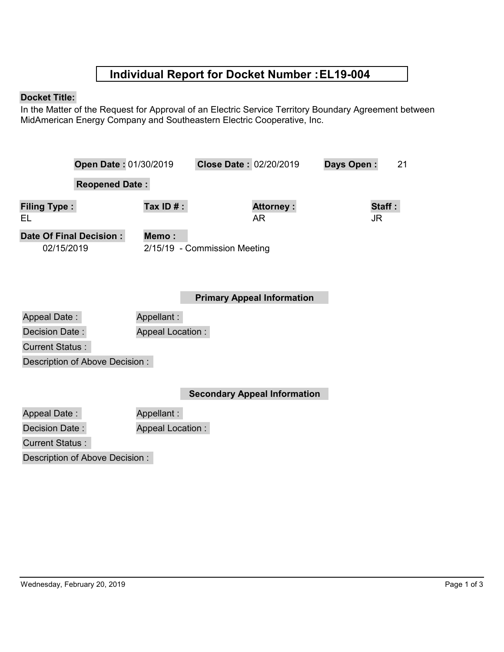## **Individual Report for Docket Number :EL19-004**

## **Docket Title:**

In the Matter of the Request for Approval of an Electric Service Territory Boundary Agreement between MidAmerican Energy Company and Southeastern Electric Cooperative, Inc.

|                           | Open Date: 01/30/2019        | Close Date: 02/20/2019            | Days Open:<br>21 |
|---------------------------|------------------------------|-----------------------------------|------------------|
|                           | <b>Reopened Date:</b>        |                                   |                  |
| <b>Filing Type:</b><br>EL | Tax ID $#$ :                 | <b>Attorney:</b><br>AR            | Staff:<br>JR     |
| Date Of Final Decision:   | Memo:                        |                                   |                  |
| 02/15/2019                | 2/15/19 - Commission Meeting |                                   |                  |
|                           |                              | <b>Primary Appeal Information</b> |                  |
| <b>Appeal Date:</b>       | Appellant:                   |                                   |                  |
| Decision Date:            | <b>Appeal Location:</b>      |                                   |                  |
| <b>Current Status:</b>    |                              |                                   |                  |

Description of Above Decision :

**Secondary Appeal Information**

| Appeal Date:                   | Appellant:              |
|--------------------------------|-------------------------|
| Decision Date :                | <b>Appeal Location:</b> |
| <b>Current Status:</b>         |                         |
| Description of Above Decision: |                         |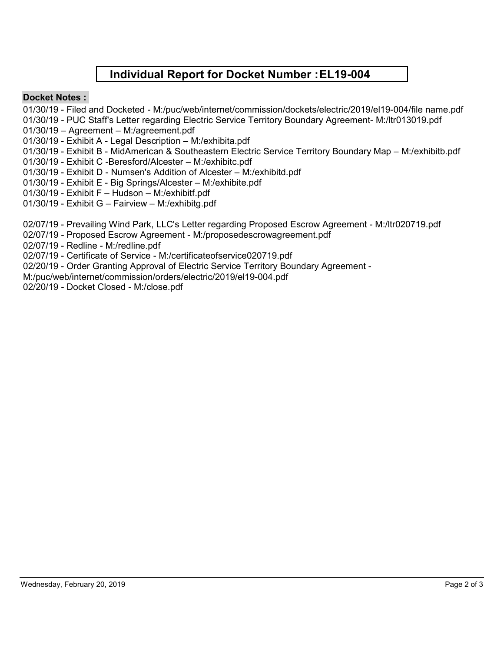## **Individual Report for Docket Number :EL19-004**

## **Docket Notes :**

- 01/30/19 Filed and Docketed M:/puc/web/internet/commission/dockets/electric/2019/el19-004/file name.pdf
- 01/30/19 PUC Staff's Letter regarding Electric Service Territory Boundary Agreement- M:/ltr013019.pdf
- 01/30/19 Agreement M:/agreement.pdf
- 01/30/19 Exhibit A Legal Description M:/exhibita.pdf
- 01/30/19 Exhibit B MidAmerican & Southeastern Electric Service Territory Boundary Map M:/exhibitb.pdf
- 01/30/19 Exhibit C -Beresford/Alcester M:/exhibitc.pdf
- 01/30/19 Exhibit D Numsen's Addition of Alcester M:/exhibitd.pdf
- 01/30/19 Exhibit E Big Springs/Alcester M:/exhibite.pdf
- 01/30/19 Exhibit F Hudson M:/exhibitf.pdf
- 01/30/19 Exhibit G Fairview M:/exhibitg.pdf
- 02/07/19 Prevailing Wind Park, LLC's Letter regarding Proposed Escrow Agreement M:/ltr020719.pdf
- 02/07/19 Proposed Escrow Agreement M:/proposedescrowagreement.pdf
- 02/07/19 Redline M:/redline.pdf
- 02/07/19 Certificate of Service M:/certificateofservice020719.pdf
- 02/20/19 Order Granting Approval of Electric Service Territory Boundary Agreement -
- M:/puc/web/internet/commission/orders/electric/2019/el19-004.pdf
- 02/20/19 Docket Closed M:/close.pdf